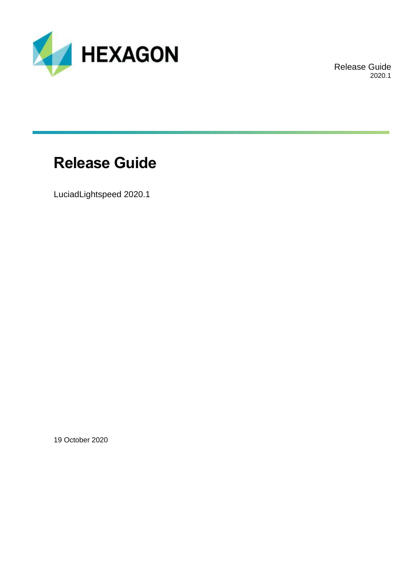

Release Guide 2020.1

## **Release Guide**

LuciadLightspeed 2020.1

19 October 2020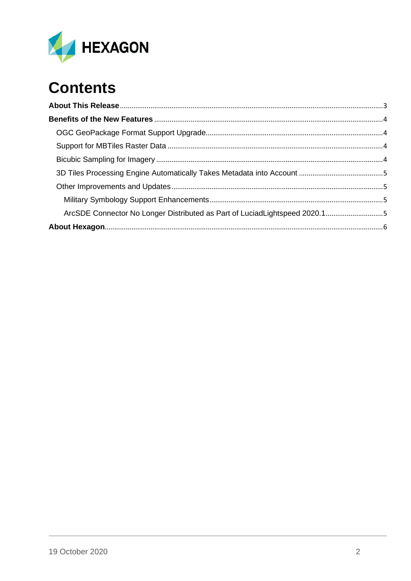

# **Contents**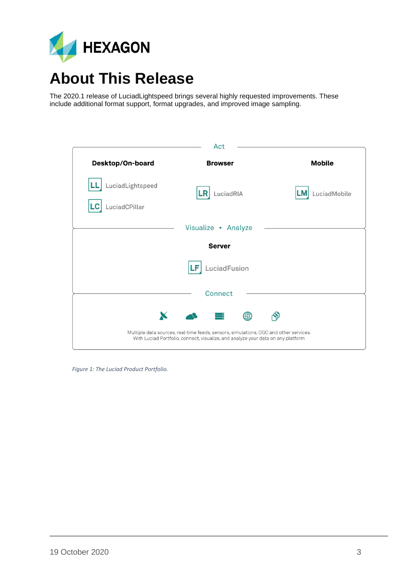

## <span id="page-2-0"></span>**About This Release**

The 2020.1 release of LuciadLightspeed brings several highly requested improvements. These include additional format support, format upgrades, and improved image sampling.

| Act                               |                                                                                                                                                                           |               |  |
|-----------------------------------|---------------------------------------------------------------------------------------------------------------------------------------------------------------------------|---------------|--|
| Desktop/On-board                  | <b>Browser</b>                                                                                                                                                            | <b>Mobile</b> |  |
| LuciadLightspeed<br>LuciadCPillar | LuciadRIA<br>LR                                                                                                                                                           | LuciadMobile  |  |
|                                   | Visualize • Analyze                                                                                                                                                       |               |  |
| <b>Server</b>                     |                                                                                                                                                                           |               |  |
|                                   | LuciadFusion<br>LF                                                                                                                                                        |               |  |
|                                   | Connect                                                                                                                                                                   |               |  |
| X                                 | ₩                                                                                                                                                                         |               |  |
|                                   | Multiple data sources, real-time feeds, sensors, simulations, OGC and other services.<br>With Luciad Portfolio, connect, visualize, and analyze your data on any platform |               |  |

 *Figure 1: The Luciad Product Portfolio.*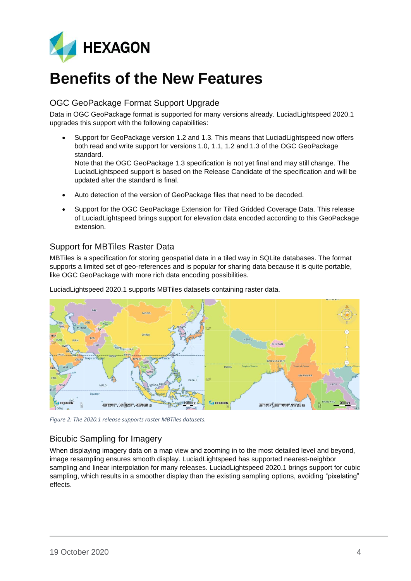

## <span id="page-3-0"></span>**Benefits of the New Features**

### <span id="page-3-1"></span>OGC GeoPackage Format Support Upgrade

Data in OGC GeoPackage format is supported for many versions already. LuciadLightspeed 2020.1 upgrades this support with the following capabilities:

• Support for GeoPackage version 1.2 and 1.3. This means that LuciadLightspeed now offers both read and write support for versions 1.0, 1.1, 1.2 and 1.3 of the OGC GeoPackage standard.

Note that the OGC GeoPackage 1.3 specification is not yet final and may still change. The LuciadLightspeed support is based on the Release Candidate of the specification and will be updated after the standard is final.

- Auto detection of the version of GeoPackage files that need to be decoded.
- Support for the OGC GeoPackage Extension for Tiled Gridded Coverage Data. This release of LuciadLightspeed brings support for elevation data encoded according to this GeoPackage extension.

### <span id="page-3-2"></span>Support for MBTiles Raster Data

MBTiles is a specification for storing geospatial data in a tiled way in SQLite databases. The format supports a limited set of geo-references and is popular for sharing data because it is quite portable, like OGC GeoPackage with more rich data encoding possibilities.



LuciadLightspeed 2020.1 supports MBTiles datasets containing raster data.

*Figure 2: The 2020.1 release supports raster MBTiles datasets.*

### <span id="page-3-3"></span>Bicubic Sampling for Imagery

When displaying imagery data on a map view and zooming in to the most detailed level and beyond, image resampling ensures smooth display. LuciadLightspeed has supported nearest-neighbor sampling and linear interpolation for many releases. LuciadLightspeed 2020.1 brings support for cubic sampling, which results in a smoother display than the existing sampling options, avoiding "pixelating" effects.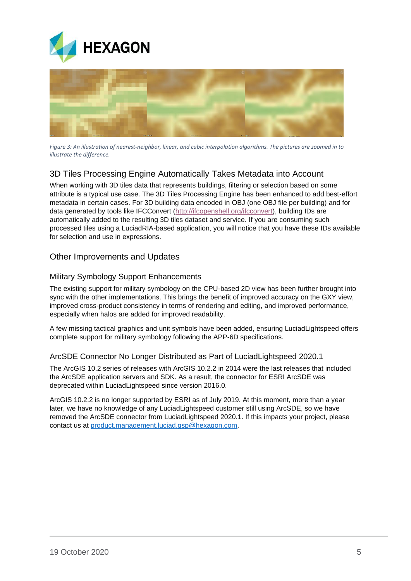



*Figure 3: An illustration of nearest-neighbor, linear, and cubic interpolation algorithms. The pictures are zoomed in to illustrate the difference.*

### <span id="page-4-0"></span>3D Tiles Processing Engine Automatically Takes Metadata into Account

When working with 3D tiles data that represents buildings, filtering or selection based on some attribute is a typical use case. The 3D Tiles Processing Engine has been enhanced to add best-effort metadata in certain cases. For 3D building data encoded in OBJ (one OBJ file per building) and for data generated by tools like IFCConvert [\(http://ifcopenshell.org/ifcconvert\)](http://ifcopenshell.org/ifcconvert), building IDs are automatically added to the resulting 3D tiles dataset and service. If you are consuming such processed tiles using a LuciadRIA-based application, you will notice that you have these IDs available for selection and use in expressions.

#### <span id="page-4-1"></span>Other Improvements and Updates

#### <span id="page-4-2"></span>Military Symbology Support Enhancements

The existing support for military symbology on the CPU-based 2D view has been further brought into sync with the other implementations. This brings the benefit of improved accuracy on the GXY view, improved cross-product consistency in terms of rendering and editing, and improved performance, especially when halos are added for improved readability.

A few missing tactical graphics and unit symbols have been added, ensuring LuciadLightspeed offers complete support for military symbology following the APP-6D specifications.

#### <span id="page-4-3"></span>ArcSDE Connector No Longer Distributed as Part of LuciadLightspeed 2020.1

The ArcGIS 10.2 series of releases with ArcGIS 10.2.2 in 2014 were the last releases that included the ArcSDE application servers and SDK. As a result, the connector for ESRI ArcSDE was deprecated within LuciadLightspeed since version 2016.0.

ArcGIS 10.2.2 is no longer supported by ESRI as of July 2019. At this moment, more than a year later, we have no knowledge of any LuciadLightspeed customer still using ArcSDE, so we have removed the ArcSDE connector from LuciadLightspeed 2020.1. If this impacts your project, please contact us at [product.management.luciad.gsp@hexagon.com.](mailto:product.management.luciad.gsp@hexagon.com)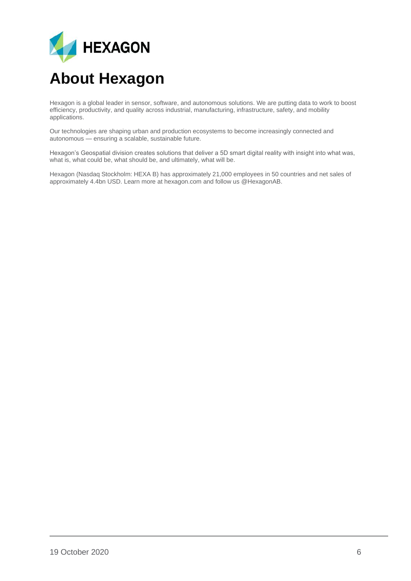

## <span id="page-5-0"></span>**About Hexagon**

Hexagon is a global leader in sensor, software, and autonomous solutions. We are putting data to work to boost efficiency, productivity, and quality across industrial, manufacturing, infrastructure, safety, and mobility applications.

Our technologies are shaping urban and production ecosystems to become increasingly connected and autonomous — ensuring a scalable, sustainable future.

Hexagon's Geospatial division creates solutions that deliver a 5D smart digital reality with insight into what was, what is, what could be, what should be, and ultimately, what will be.

Hexagon (Nasdaq Stockholm: HEXA B) has approximately 21,000 employees in 50 countries and net sales of approximately 4.4bn USD. Learn more at hexagon.com and follow us @HexagonAB.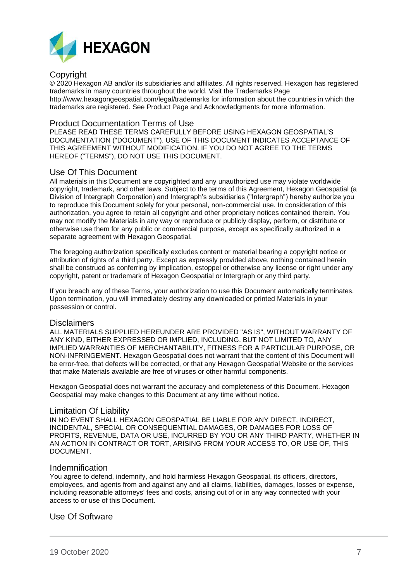

#### Copyright

© 2020 Hexagon AB and/or its subsidiaries and affiliates. All rights reserved. Hexagon has registered trademarks in many countries throughout the world. Visit the Trademarks Page http://www.hexagongeospatial.com/legal/trademarks for information about the countries in which the trademarks are registered. See Product Page and Acknowledgments for more information.

#### Product Documentation Terms of Use

PLEASE READ THESE TERMS CAREFULLY BEFORE USING HEXAGON GEOSPATIAL'S DOCUMENTATION ("DOCUMENT"). USE OF THIS DOCUMENT INDICATES ACCEPTANCE OF THIS AGREEMENT WITHOUT MODIFICATION. IF YOU DO NOT AGREE TO THE TERMS HEREOF ("TERMS"), DO NOT USE THIS DOCUMENT.

#### Use Of This Document

All materials in this Document are copyrighted and any unauthorized use may violate worldwide copyright, trademark, and other laws. Subject to the terms of this Agreement, Hexagon Geospatial (a Division of Intergraph Corporation) and Intergraph's subsidiaries ("Intergraph") hereby authorize you to reproduce this Document solely for your personal, non-commercial use. In consideration of this authorization, you agree to retain all copyright and other proprietary notices contained therein. You may not modify the Materials in any way or reproduce or publicly display, perform, or distribute or otherwise use them for any public or commercial purpose, except as specifically authorized in a separate agreement with Hexagon Geospatial.

The foregoing authorization specifically excludes content or material bearing a copyright notice or attribution of rights of a third party. Except as expressly provided above, nothing contained herein shall be construed as conferring by implication, estoppel or otherwise any license or right under any copyright, patent or trademark of Hexagon Geospatial or Intergraph or any third party.

If you breach any of these Terms, your authorization to use this Document automatically terminates. Upon termination, you will immediately destroy any downloaded or printed Materials in your possession or control.

#### Disclaimers

ALL MATERIALS SUPPLIED HEREUNDER ARE PROVIDED "AS IS", WITHOUT WARRANTY OF ANY KIND, EITHER EXPRESSED OR IMPLIED, INCLUDING, BUT NOT LIMITED TO, ANY IMPLIED WARRANTIES OF MERCHANTABILITY, FITNESS FOR A PARTICULAR PURPOSE, OR NON-INFRINGEMENT. Hexagon Geospatial does not warrant that the content of this Document will be error-free, that defects will be corrected, or that any Hexagon Geospatial Website or the services that make Materials available are free of viruses or other harmful components.

Hexagon Geospatial does not warrant the accuracy and completeness of this Document. Hexagon Geospatial may make changes to this Document at any time without notice.

#### Limitation Of Liability

IN NO EVENT SHALL HEXAGON GEOSPATIAL BE LIABLE FOR ANY DIRECT, INDIRECT, INCIDENTAL, SPECIAL OR CONSEQUENTIAL DAMAGES, OR DAMAGES FOR LOSS OF PROFITS, REVENUE, DATA OR USE, INCURRED BY YOU OR ANY THIRD PARTY, WHETHER IN AN ACTION IN CONTRACT OR TORT, ARISING FROM YOUR ACCESS TO, OR USE OF, THIS DOCUMENT.

#### Indemnification

You agree to defend, indemnify, and hold harmless Hexagon Geospatial, its officers, directors, employees, and agents from and against any and all claims, liabilities, damages, losses or expense, including reasonable attorneys' fees and costs, arising out of or in any way connected with your access to or use of this Document.

#### Use Of Software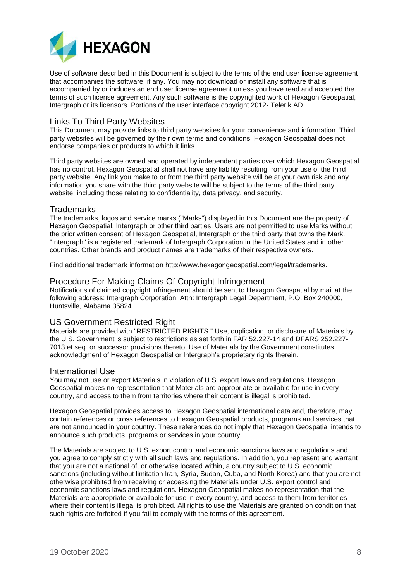

Use of software described in this Document is subject to the terms of the end user license agreement that accompanies the software, if any. You may not download or install any software that is accompanied by or includes an end user license agreement unless you have read and accepted the terms of such license agreement. Any such software is the copyrighted work of Hexagon Geospatial, Intergraph or its licensors. Portions of the user interface copyright 2012- Telerik AD.

#### Links To Third Party Websites

This Document may provide links to third party websites for your convenience and information. Third party websites will be governed by their own terms and conditions. Hexagon Geospatial does not endorse companies or products to which it links.

Third party websites are owned and operated by independent parties over which Hexagon Geospatial has no control. Hexagon Geospatial shall not have any liability resulting from your use of the third party website. Any link you make to or from the third party website will be at your own risk and any information you share with the third party website will be subject to the terms of the third party website, including those relating to confidentiality, data privacy, and security.

#### **Trademarks**

The trademarks, logos and service marks ("Marks") displayed in this Document are the property of Hexagon Geospatial, Intergraph or other third parties. Users are not permitted to use Marks without the prior written consent of Hexagon Geospatial, Intergraph or the third party that owns the Mark. "Intergraph" is a registered trademark of Intergraph Corporation in the United States and in other countries. Other brands and product names are trademarks of their respective owners.

Find additional trademark information http://www.hexagongeospatial.com/legal/trademarks.

#### Procedure For Making Claims Of Copyright Infringement

Notifications of claimed copyright infringement should be sent to Hexagon Geospatial by mail at the following address: Intergraph Corporation, Attn: Intergraph Legal Department, P.O. Box 240000, Huntsville, Alabama 35824.

#### US Government Restricted Right

Materials are provided with "RESTRICTED RIGHTS." Use, duplication, or disclosure of Materials by the U.S. Government is subject to restrictions as set forth in FAR 52.227-14 and DFARS 252.227- 7013 et seq. or successor provisions thereto. Use of Materials by the Government constitutes acknowledgment of Hexagon Geospatial or Intergraph's proprietary rights therein.

#### International Use

You may not use or export Materials in violation of U.S. export laws and regulations. Hexagon Geospatial makes no representation that Materials are appropriate or available for use in every country, and access to them from territories where their content is illegal is prohibited.

Hexagon Geospatial provides access to Hexagon Geospatial international data and, therefore, may contain references or cross references to Hexagon Geospatial products, programs and services that are not announced in your country. These references do not imply that Hexagon Geospatial intends to announce such products, programs or services in your country.

The Materials are subject to U.S. export control and economic sanctions laws and regulations and you agree to comply strictly with all such laws and regulations. In addition, you represent and warrant that you are not a national of, or otherwise located within, a country subject to U.S. economic sanctions (including without limitation Iran, Syria, Sudan, Cuba, and North Korea) and that you are not otherwise prohibited from receiving or accessing the Materials under U.S. export control and economic sanctions laws and regulations. Hexagon Geospatial makes no representation that the Materials are appropriate or available for use in every country, and access to them from territories where their content is illegal is prohibited. All rights to use the Materials are granted on condition that such rights are forfeited if you fail to comply with the terms of this agreement.